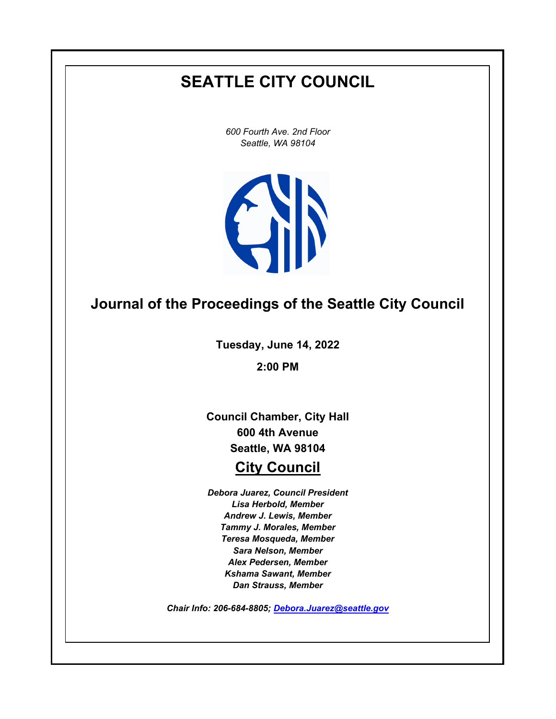# **SEATTLE CITY COUNCIL**

*600 Fourth Ave. 2nd Floor Seattle, WA 98104*



# **Journal of the Proceedings of the Seattle City Council**

**Tuesday, June 14, 2022**

**2:00 PM**

**Council Chamber, City Hall 600 4th Avenue Seattle, WA 98104**

## **City Council**

*Debora Juarez, Council President Lisa Herbold, Member Andrew J. Lewis, Member Tammy J. Morales, Member Teresa Mosqueda, Member Sara Nelson, Member Alex Pedersen, Member Kshama Sawant, Member Dan Strauss, Member*

*Chair Info: 206-684-8805; [Debora.Juarez@seattle.gov](mailto:Debora.Juarez@seattle.gov)*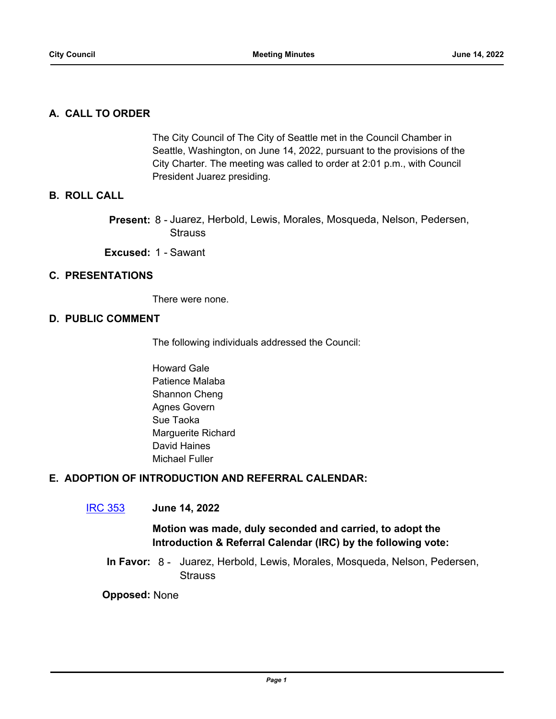## **A. CALL TO ORDER**

The City Council of The City of Seattle met in the Council Chamber in Seattle, Washington, on June 14, 2022, pursuant to the provisions of the City Charter. The meeting was called to order at 2:01 p.m., with Council President Juarez presiding.

## **B. ROLL CALL**

Present: 8 - Juarez, Herbold, Lewis, Morales, Mosqueda, Nelson, Pedersen, **Strauss** 

**Excused:** 1 - Sawant

## **C. PRESENTATIONS**

There were none.

## **D. PUBLIC COMMENT**

The following individuals addressed the Council:

Howard Gale Patience Malaba Shannon Cheng Agnes Govern Sue Taoka Marguerite Richard David Haines Michael Fuller

## **E. ADOPTION OF INTRODUCTION AND REFERRAL CALENDAR:**

## [IRC 353](http://seattle.legistar.com/gateway.aspx?m=l&id=/matter.aspx?key=13064) **June 14, 2022**

## **Motion was made, duly seconded and carried, to adopt the Introduction & Referral Calendar (IRC) by the following vote:**

In Favor: 8 - Juarez, Herbold, Lewis, Morales, Mosqueda, Nelson, Pedersen, **Strauss**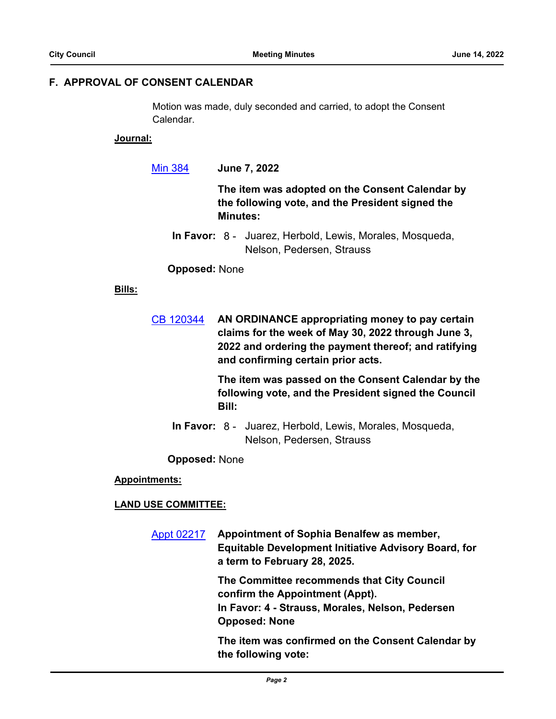## **F. APPROVAL OF CONSENT CALENDAR**

Motion was made, duly seconded and carried, to adopt the Consent Calendar.

#### **Journal:**

[Min 384](http://seattle.legistar.com/gateway.aspx?m=l&id=/matter.aspx?key=13065) **June 7, 2022**

**The item was adopted on the Consent Calendar by the following vote, and the President signed the Minutes:**

In Favor: 8 - Juarez, Herbold, Lewis, Morales, Mosqueda, Nelson, Pedersen, Strauss

#### **Opposed:** None

## **Bills:**

[CB 120344](http://seattle.legistar.com/gateway.aspx?m=l&id=/matter.aspx?key=13061) **AN ORDINANCE appropriating money to pay certain claims for the week of May 30, 2022 through June 3, 2022 and ordering the payment thereof; and ratifying and confirming certain prior acts.**

> **The item was passed on the Consent Calendar by the following vote, and the President signed the Council Bill:**

In Favor: 8 - Juarez, Herbold, Lewis, Morales, Mosqueda, Nelson, Pedersen, Strauss

**Opposed:** None

**Appointments:**

#### **LAND USE COMMITTEE:**

[Appt 02217](http://seattle.legistar.com/gateway.aspx?m=l&id=/matter.aspx?key=12997) **Appointment of Sophia Benalfew as member, Equitable Development Initiative Advisory Board, for a term to February 28, 2025.**

> **The Committee recommends that City Council confirm the Appointment (Appt). In Favor: 4 - Strauss, Morales, Nelson, Pedersen Opposed: None**

**The item was confirmed on the Consent Calendar by the following vote:**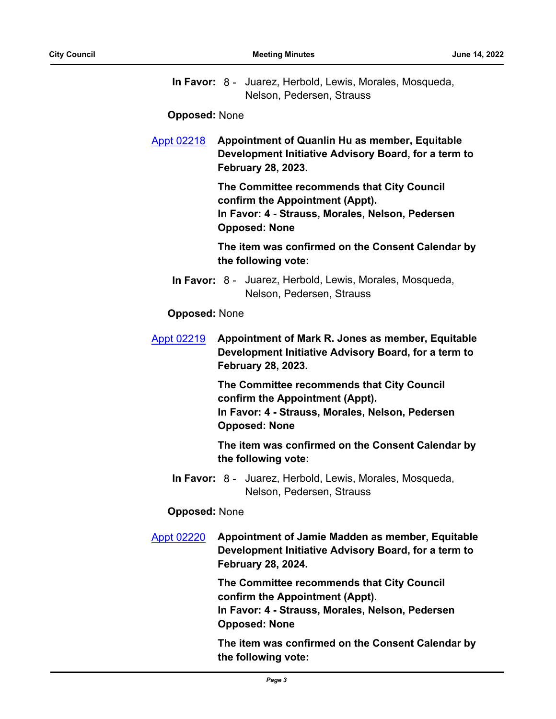|  | In Favor: 8 - Juarez, Herbold, Lewis, Morales, Mosqueda, |
|--|----------------------------------------------------------|
|  | Nelson, Pedersen, Strauss                                |

#### **Opposed:** None

[Appt 02218](http://seattle.legistar.com/gateway.aspx?m=l&id=/matter.aspx?key=12998) **Appointment of Quanlin Hu as member, Equitable Development Initiative Advisory Board, for a term to February 28, 2023.**

> **The Committee recommends that City Council confirm the Appointment (Appt). In Favor: 4 - Strauss, Morales, Nelson, Pedersen Opposed: None**

**The item was confirmed on the Consent Calendar by the following vote:**

In Favor: 8 - Juarez, Herbold, Lewis, Morales, Mosqueda, Nelson, Pedersen, Strauss

## **Opposed:** None

[Appt 02219](http://seattle.legistar.com/gateway.aspx?m=l&id=/matter.aspx?key=12999) **Appointment of Mark R. Jones as member, Equitable Development Initiative Advisory Board, for a term to February 28, 2023.**

> **The Committee recommends that City Council confirm the Appointment (Appt). In Favor: 4 - Strauss, Morales, Nelson, Pedersen Opposed: None**

**The item was confirmed on the Consent Calendar by the following vote:**

In Favor: 8 - Juarez, Herbold, Lewis, Morales, Mosqueda, Nelson, Pedersen, Strauss

#### **Opposed:** None

[Appt 02220](http://seattle.legistar.com/gateway.aspx?m=l&id=/matter.aspx?key=13000) **Appointment of Jamie Madden as member, Equitable Development Initiative Advisory Board, for a term to February 28, 2024.**

> **The Committee recommends that City Council confirm the Appointment (Appt). In Favor: 4 - Strauss, Morales, Nelson, Pedersen Opposed: None**

**The item was confirmed on the Consent Calendar by the following vote:**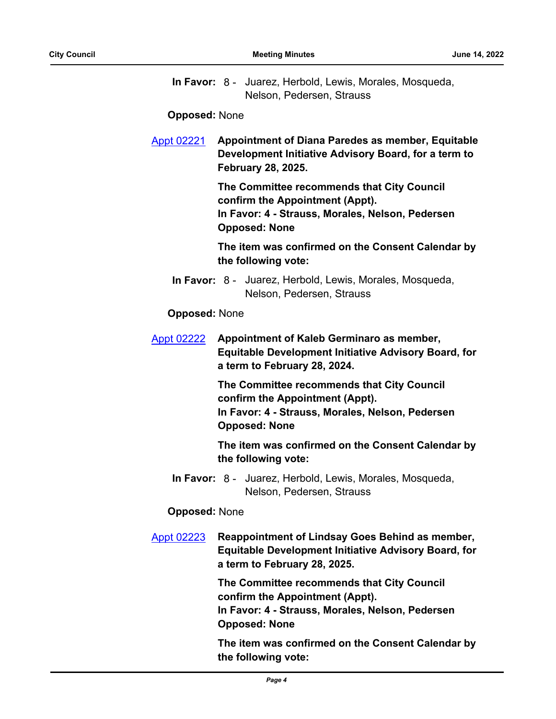In Favor: 8 - Juarez, Herbold, Lewis, Morales, Mosqueda, Nelson, Pedersen, Strauss

**Opposed:** None

[Appt 02221](http://seattle.legistar.com/gateway.aspx?m=l&id=/matter.aspx?key=13001) **Appointment of Diana Paredes as member, Equitable Development Initiative Advisory Board, for a term to February 28, 2025.**

> **The Committee recommends that City Council confirm the Appointment (Appt). In Favor: 4 - Strauss, Morales, Nelson, Pedersen Opposed: None**

**The item was confirmed on the Consent Calendar by the following vote:**

In Favor: 8 - Juarez, Herbold, Lewis, Morales, Mosqueda, Nelson, Pedersen, Strauss

## **Opposed:** None

[Appt 02222](http://seattle.legistar.com/gateway.aspx?m=l&id=/matter.aspx?key=13006) **Appointment of Kaleb Germinaro as member, Equitable Development Initiative Advisory Board, for a term to February 28, 2024.**

> **The Committee recommends that City Council confirm the Appointment (Appt). In Favor: 4 - Strauss, Morales, Nelson, Pedersen Opposed: None**

**The item was confirmed on the Consent Calendar by the following vote:**

In Favor: 8 - Juarez, Herbold, Lewis, Morales, Mosqueda, Nelson, Pedersen, Strauss

#### **Opposed:** None

[Appt 02223](http://seattle.legistar.com/gateway.aspx?m=l&id=/matter.aspx?key=13007) **Reappointment of Lindsay Goes Behind as member, Equitable Development Initiative Advisory Board, for a term to February 28, 2025.**

> **The Committee recommends that City Council confirm the Appointment (Appt). In Favor: 4 - Strauss, Morales, Nelson, Pedersen Opposed: None**

**The item was confirmed on the Consent Calendar by the following vote:**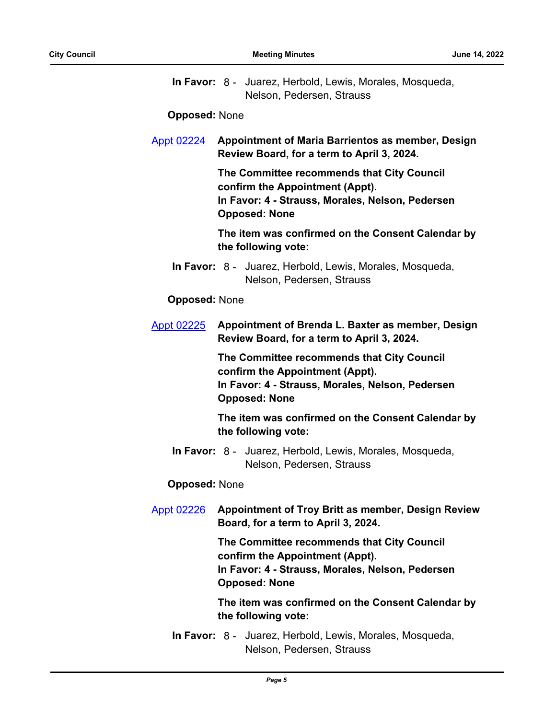|  | In Favor: 8 - Juarez, Herbold, Lewis, Morales, Mosqueda, |
|--|----------------------------------------------------------|
|  | Nelson, Pedersen, Strauss                                |

#### **Opposed:** None

[Appt 02224](http://seattle.legistar.com/gateway.aspx?m=l&id=/matter.aspx?key=13024) **Appointment of Maria Barrientos as member, Design Review Board, for a term to April 3, 2024.**

> **The Committee recommends that City Council confirm the Appointment (Appt). In Favor: 4 - Strauss, Morales, Nelson, Pedersen Opposed: None**

**The item was confirmed on the Consent Calendar by the following vote:**

In Favor: 8 - Juarez, Herbold, Lewis, Morales, Mosqueda, Nelson, Pedersen, Strauss

#### **Opposed:** None

[Appt 02225](http://seattle.legistar.com/gateway.aspx?m=l&id=/matter.aspx?key=13025) **Appointment of Brenda L. Baxter as member, Design Review Board, for a term to April 3, 2024.**

> **The Committee recommends that City Council confirm the Appointment (Appt). In Favor: 4 - Strauss, Morales, Nelson, Pedersen Opposed: None**

**The item was confirmed on the Consent Calendar by the following vote:**

In Favor: 8 - Juarez, Herbold, Lewis, Morales, Mosqueda, Nelson, Pedersen, Strauss

#### **Opposed:** None

[Appt 02226](http://seattle.legistar.com/gateway.aspx?m=l&id=/matter.aspx?key=13026) **Appointment of Troy Britt as member, Design Review Board, for a term to April 3, 2024.**

> **The Committee recommends that City Council confirm the Appointment (Appt). In Favor: 4 - Strauss, Morales, Nelson, Pedersen Opposed: None**

**The item was confirmed on the Consent Calendar by the following vote:**

In Favor: 8 - Juarez, Herbold, Lewis, Morales, Mosqueda, Nelson, Pedersen, Strauss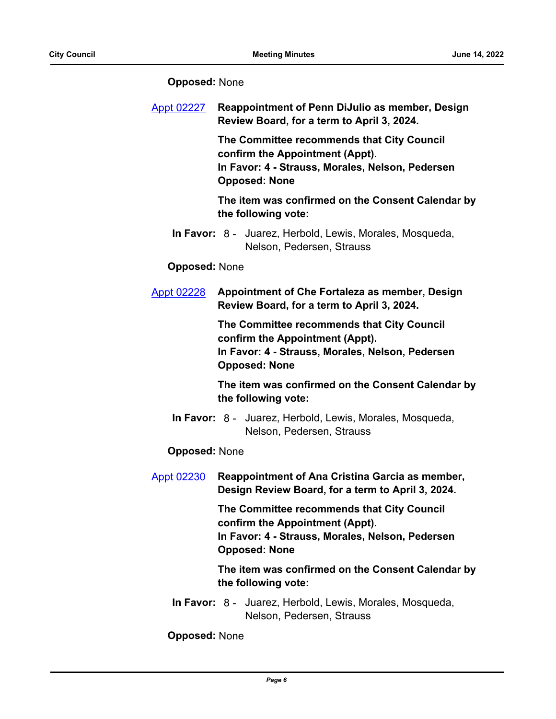| <b>Appt 02227</b>    | <b>Reappointment of Penn DiJulio as member, Design</b><br>Review Board, for a term to April 3, 2024.                                                      |  |
|----------------------|-----------------------------------------------------------------------------------------------------------------------------------------------------------|--|
|                      | The Committee recommends that City Council<br>confirm the Appointment (Appt).<br>In Favor: 4 - Strauss, Morales, Nelson, Pedersen<br><b>Opposed: None</b> |  |
|                      | The item was confirmed on the Consent Calendar by<br>the following vote:                                                                                  |  |
|                      | In Favor: 8 - Juarez, Herbold, Lewis, Morales, Mosqueda,<br>Nelson, Pedersen, Strauss                                                                     |  |
| <b>Opposed: None</b> |                                                                                                                                                           |  |
| <b>Appt 02228</b>    | Appointment of Che Fortaleza as member, Design<br>Review Board, for a term to April 3, 2024.                                                              |  |
|                      | The Committee recommends that City Council<br>confirm the Appointment (Appt).<br>In Favor: 4 - Strauss, Morales, Nelson, Pedersen<br><b>Opposed: None</b> |  |
|                      | The item was confirmed on the Consent Calendar by<br>the following vote:                                                                                  |  |
|                      | In Favor: 8 - Juarez, Herbold, Lewis, Morales, Mosqueda,<br>Nelson, Pedersen, Strauss                                                                     |  |
| <b>Opposed: None</b> |                                                                                                                                                           |  |
| <b>Appt 02230</b>    | Reappointment of Ana Cristina Garcia as member,<br>Design Review Board, for a term to April 3, 2024.                                                      |  |
|                      | The Committee recommends that City Council<br>confirm the Appointment (Appt).<br>In Favor: 4 - Strauss, Morales, Nelson, Pedersen<br><b>Opposed: None</b> |  |
|                      | The item was confirmed on the Consent Calendar by<br>the following vote:                                                                                  |  |
|                      | In Favor: 8 - Juarez, Herbold, Lewis, Morales, Mosqueda,<br>Nelson, Pedersen, Strauss                                                                     |  |
| <b>Opposed: None</b> |                                                                                                                                                           |  |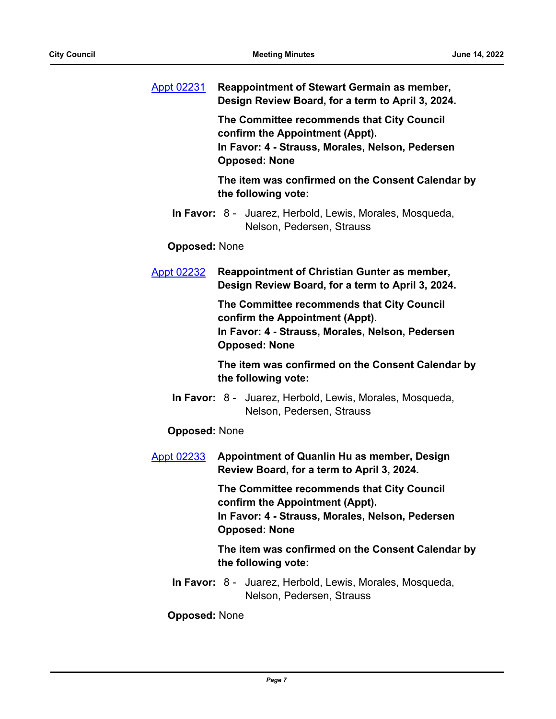| <b>Appt 02231</b>    | <b>Reappointment of Stewart Germain as member,</b><br>Design Review Board, for a term to April 3, 2024.                                                   |
|----------------------|-----------------------------------------------------------------------------------------------------------------------------------------------------------|
|                      | The Committee recommends that City Council<br>confirm the Appointment (Appt).<br>In Favor: 4 - Strauss, Morales, Nelson, Pedersen<br><b>Opposed: None</b> |
|                      | The item was confirmed on the Consent Calendar by<br>the following vote:                                                                                  |
|                      | In Favor: 8 - Juarez, Herbold, Lewis, Morales, Mosqueda,<br>Nelson, Pedersen, Strauss                                                                     |
| <b>Opposed: None</b> |                                                                                                                                                           |
| <b>Appt 02232</b>    | <b>Reappointment of Christian Gunter as member,</b><br>Design Review Board, for a term to April 3, 2024.                                                  |
|                      | The Committee recommends that City Council<br>confirm the Appointment (Appt).<br>In Favor: 4 - Strauss, Morales, Nelson, Pedersen<br><b>Opposed: None</b> |
|                      | The item was confirmed on the Consent Calendar by<br>the following vote:                                                                                  |
|                      | In Favor: 8 - Juarez, Herbold, Lewis, Morales, Mosqueda,<br>Nelson, Pedersen, Strauss                                                                     |
| <b>Opposed: None</b> |                                                                                                                                                           |
| <b>Appt 02233</b>    | Appointment of Quanlin Hu as member, Design<br>Review Board, for a term to April 3, 2024.                                                                 |
|                      | The Committee recommends that City Council<br>confirm the Appointment (Appt).<br>In Favor: 4 - Strauss, Morales, Nelson, Pedersen<br><b>Opposed: None</b> |
|                      | The item was confirmed on the Consent Calendar by<br>the following vote:                                                                                  |
|                      | In Favor: 8 - Juarez, Herbold, Lewis, Morales, Mosqueda,<br>Nelson, Pedersen, Strauss                                                                     |
| <b>Opposed: None</b> |                                                                                                                                                           |
|                      |                                                                                                                                                           |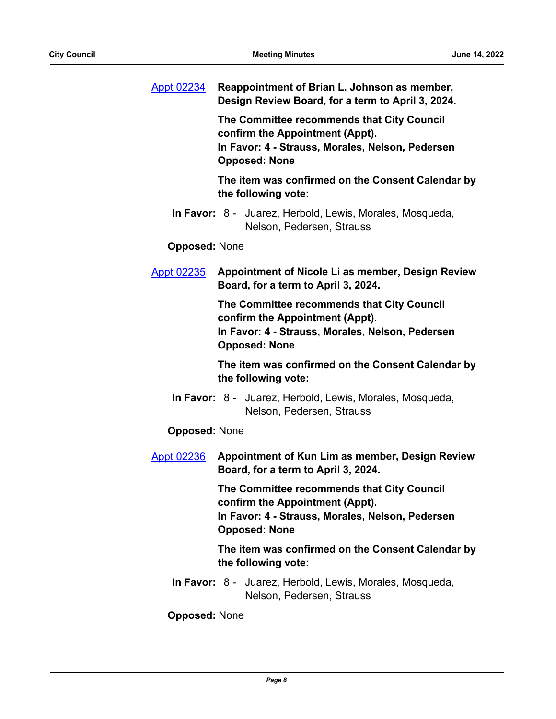| <b>Appt 02234</b>    | Reappointment of Brian L. Johnson as member,<br>Design Review Board, for a term to April 3, 2024.                                                         |
|----------------------|-----------------------------------------------------------------------------------------------------------------------------------------------------------|
|                      | The Committee recommends that City Council<br>confirm the Appointment (Appt).<br>In Favor: 4 - Strauss, Morales, Nelson, Pedersen<br><b>Opposed: None</b> |
|                      | The item was confirmed on the Consent Calendar by<br>the following vote:                                                                                  |
|                      | In Favor: 8 - Juarez, Herbold, Lewis, Morales, Mosqueda,<br>Nelson, Pedersen, Strauss                                                                     |
| <b>Opposed: None</b> |                                                                                                                                                           |
| <b>Appt 02235</b>    | Appointment of Nicole Li as member, Design Review<br>Board, for a term to April 3, 2024.                                                                  |
|                      | The Committee recommends that City Council<br>confirm the Appointment (Appt).<br>In Favor: 4 - Strauss, Morales, Nelson, Pedersen<br><b>Opposed: None</b> |
|                      | The item was confirmed on the Consent Calendar by<br>the following vote:                                                                                  |
|                      | In Favor: 8 - Juarez, Herbold, Lewis, Morales, Mosqueda,<br>Nelson, Pedersen, Strauss                                                                     |
| <b>Opposed: None</b> |                                                                                                                                                           |
| <b>Appt 02236</b>    | Appointment of Kun Lim as member, Design Review<br>Board, for a term to April 3, 2024.                                                                    |
|                      | The Committee recommends that City Council<br>confirm the Appointment (Appt).<br>In Favor: 4 - Strauss, Morales, Nelson, Pedersen<br><b>Opposed: None</b> |
|                      | The item was confirmed on the Consent Calendar by<br>the following vote:                                                                                  |
|                      | In Favor: 8 - Juarez, Herbold, Lewis, Morales, Mosqueda,<br>Nelson, Pedersen, Strauss                                                                     |
| <b>Opposed: None</b> |                                                                                                                                                           |
|                      |                                                                                                                                                           |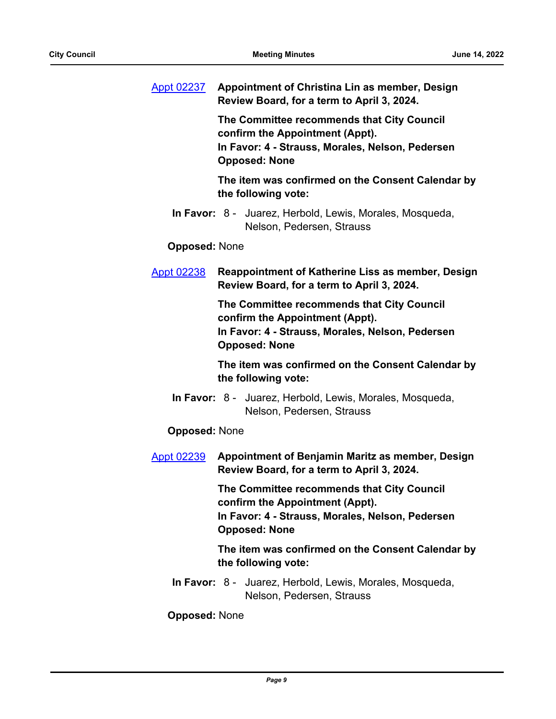| Appt 02237           | Appointment of Christina Lin as member, Design<br>Review Board, for a term to April 3, 2024.                                                              |
|----------------------|-----------------------------------------------------------------------------------------------------------------------------------------------------------|
|                      | The Committee recommends that City Council<br>confirm the Appointment (Appt).<br>In Favor: 4 - Strauss, Morales, Nelson, Pedersen<br><b>Opposed: None</b> |
|                      | The item was confirmed on the Consent Calendar by<br>the following vote:                                                                                  |
|                      | In Favor: 8 - Juarez, Herbold, Lewis, Morales, Mosqueda,<br>Nelson, Pedersen, Strauss                                                                     |
| <b>Opposed: None</b> |                                                                                                                                                           |
| <b>Appt 02238</b>    | Reappointment of Katherine Liss as member, Design<br>Review Board, for a term to April 3, 2024.                                                           |
|                      | The Committee recommends that City Council<br>confirm the Appointment (Appt).<br>In Favor: 4 - Strauss, Morales, Nelson, Pedersen<br><b>Opposed: None</b> |
|                      | The item was confirmed on the Consent Calendar by<br>the following vote:                                                                                  |
|                      | In Favor: 8 - Juarez, Herbold, Lewis, Morales, Mosqueda,<br>Nelson, Pedersen, Strauss                                                                     |
| <b>Opposed: None</b> |                                                                                                                                                           |
| <b>Appt 02239</b>    | Appointment of Benjamin Maritz as member, Design<br>Review Board, for a term to April 3, 2024.                                                            |
|                      | The Committee recommends that City Council<br>confirm the Appointment (Appt).<br>In Favor: 4 - Strauss, Morales, Nelson, Pedersen<br><b>Opposed: None</b> |
|                      | The item was confirmed on the Consent Calendar by<br>the following vote:                                                                                  |
|                      | In Favor: 8 - Juarez, Herbold, Lewis, Morales, Mosqueda,<br>Nelson, Pedersen, Strauss                                                                     |
| <b>Opposed: None</b> |                                                                                                                                                           |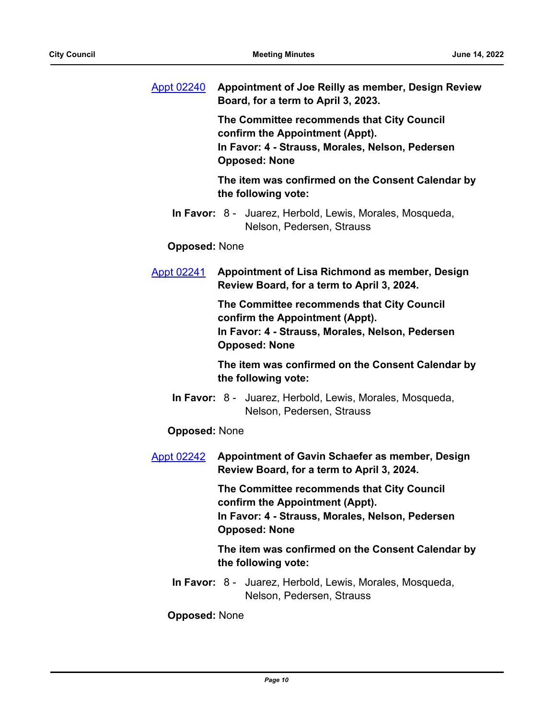| <b>Appt 02240</b>    | Appointment of Joe Reilly as member, Design Review<br>Board, for a term to April 3, 2023.                                                                 |
|----------------------|-----------------------------------------------------------------------------------------------------------------------------------------------------------|
|                      | The Committee recommends that City Council<br>confirm the Appointment (Appt).<br>In Favor: 4 - Strauss, Morales, Nelson, Pedersen<br><b>Opposed: None</b> |
|                      | The item was confirmed on the Consent Calendar by<br>the following vote:                                                                                  |
|                      | In Favor: 8 - Juarez, Herbold, Lewis, Morales, Mosqueda,<br>Nelson, Pedersen, Strauss                                                                     |
| <b>Opposed: None</b> |                                                                                                                                                           |
| <b>Appt 02241</b>    | Appointment of Lisa Richmond as member, Design<br>Review Board, for a term to April 3, 2024.                                                              |
|                      | The Committee recommends that City Council<br>confirm the Appointment (Appt).<br>In Favor: 4 - Strauss, Morales, Nelson, Pedersen<br><b>Opposed: None</b> |
|                      | The item was confirmed on the Consent Calendar by<br>the following vote:                                                                                  |
|                      | In Favor: 8 - Juarez, Herbold, Lewis, Morales, Mosqueda,<br>Nelson, Pedersen, Strauss                                                                     |
| <b>Opposed: None</b> |                                                                                                                                                           |
| <b>Appt 02242</b>    | Appointment of Gavin Schaefer as member, Design<br>Review Board, for a term to April 3, 2024.                                                             |
|                      | The Committee recommends that City Council<br>confirm the Appointment (Appt).<br>In Favor: 4 - Strauss, Morales, Nelson, Pedersen<br><b>Opposed: None</b> |
|                      | The item was confirmed on the Consent Calendar by<br>the following vote:                                                                                  |
|                      | In Favor: 8 - Juarez, Herbold, Lewis, Morales, Mosqueda,<br>Nelson, Pedersen, Strauss                                                                     |
| <b>Opposed: None</b> |                                                                                                                                                           |
|                      |                                                                                                                                                           |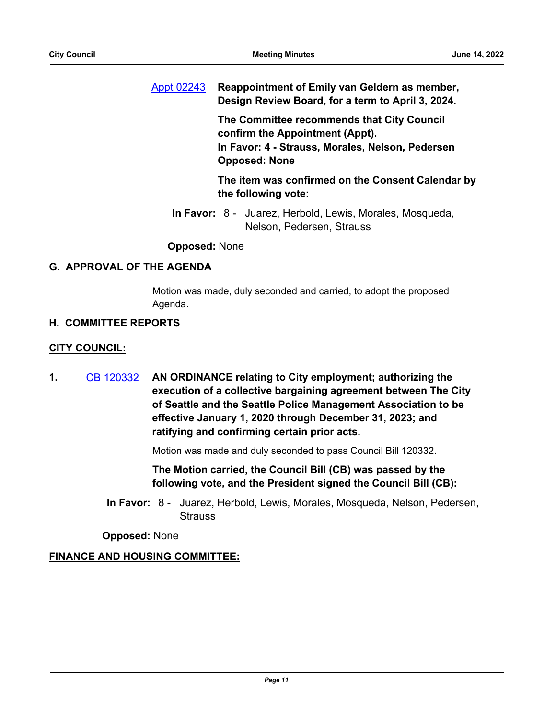[Appt 02243](http://seattle.legistar.com/gateway.aspx?m=l&id=/matter.aspx?key=13042) **Reappointment of Emily van Geldern as member, Design Review Board, for a term to April 3, 2024.**

> **The Committee recommends that City Council confirm the Appointment (Appt). In Favor: 4 - Strauss, Morales, Nelson, Pedersen Opposed: None**

**The item was confirmed on the Consent Calendar by the following vote:**

In Favor: 8 - Juarez, Herbold, Lewis, Morales, Mosqueda, Nelson, Pedersen, Strauss

**Opposed:** None

## **G. APPROVAL OF THE AGENDA**

Motion was made, duly seconded and carried, to adopt the proposed Agenda.

## **H. COMMITTEE REPORTS**

## **CITY COUNCIL:**

**1.** [CB 120332](http://seattle.legistar.com/gateway.aspx?m=l&id=/matter.aspx?key=12893) **AN ORDINANCE relating to City employment; authorizing the execution of a collective bargaining agreement between The City of Seattle and the Seattle Police Management Association to be effective January 1, 2020 through December 31, 2023; and ratifying and confirming certain prior acts.**

Motion was made and duly seconded to pass Council Bill 120332.

**The Motion carried, the Council Bill (CB) was passed by the following vote, and the President signed the Council Bill (CB):**

In Favor: 8 - Juarez, Herbold, Lewis, Morales, Mosqueda, Nelson, Pedersen, **Strauss** 

**Opposed:** None

## **FINANCE AND HOUSING COMMITTEE:**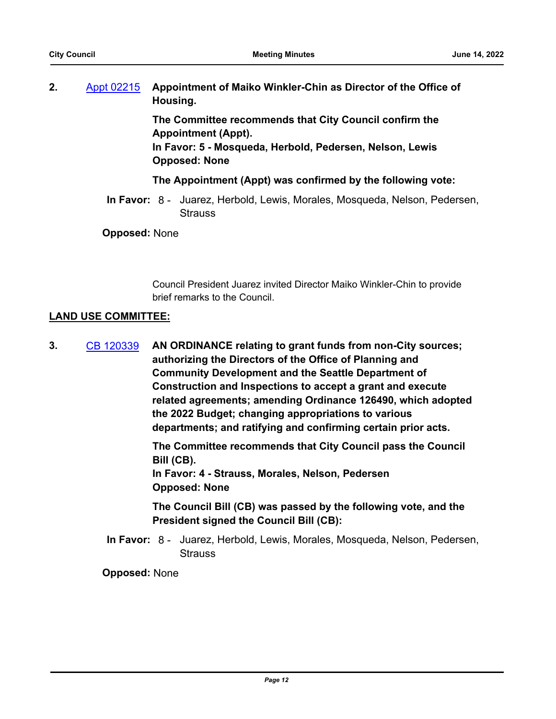| Ζ. | Appt 02215 Appointment of Maiko Winkler-Chin as Director of the Office of |
|----|---------------------------------------------------------------------------|
|    | Housing.                                                                  |

**The Committee recommends that City Council confirm the Appointment (Appt).**

**In Favor: 5 - Mosqueda, Herbold, Pedersen, Nelson, Lewis Opposed: None**

## **The Appointment (Appt) was confirmed by the following vote:**

In Favor: 8 - Juarez, Herbold, Lewis, Morales, Mosqueda, Nelson, Pedersen, **Strauss** 

**Opposed:** None

Council President Juarez invited Director Maiko Winkler-Chin to provide brief remarks to the Council.

## **LAND USE COMMITTEE:**

**3.** [CB 120339](http://seattle.legistar.com/gateway.aspx?m=l&id=/matter.aspx?key=12920) **AN ORDINANCE relating to grant funds from non-City sources; authorizing the Directors of the Office of Planning and Community Development and the Seattle Department of Construction and Inspections to accept a grant and execute related agreements; amending Ordinance 126490, which adopted the 2022 Budget; changing appropriations to various departments; and ratifying and confirming certain prior acts.**

> **The Committee recommends that City Council pass the Council Bill (CB). In Favor: 4 - Strauss, Morales, Nelson, Pedersen Opposed: None**

> **The Council Bill (CB) was passed by the following vote, and the President signed the Council Bill (CB):**

In Favor: 8 - Juarez, Herbold, Lewis, Morales, Mosqueda, Nelson, Pedersen, **Strauss**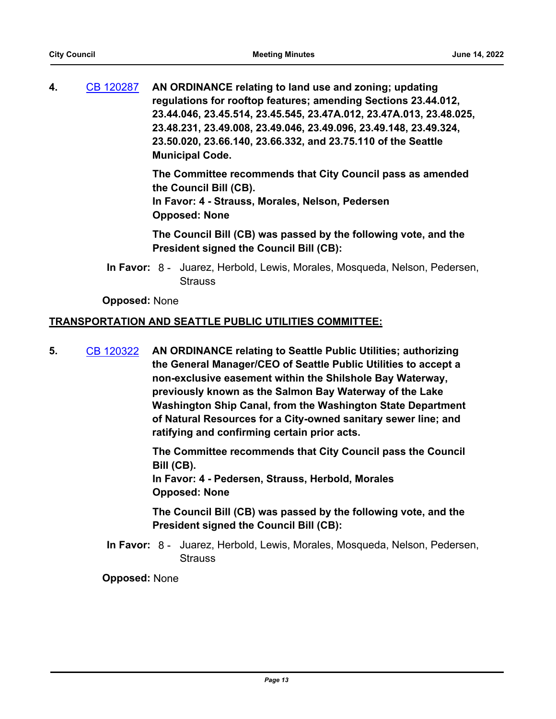**4.** [CB 120287](http://seattle.legistar.com/gateway.aspx?m=l&id=/matter.aspx?key=12709) **AN ORDINANCE relating to land use and zoning; updating regulations for rooftop features; amending Sections 23.44.012, 23.44.046, 23.45.514, 23.45.545, 23.47A.012, 23.47A.013, 23.48.025, 23.48.231, 23.49.008, 23.49.046, 23.49.096, 23.49.148, 23.49.324, 23.50.020, 23.66.140, 23.66.332, and 23.75.110 of the Seattle Municipal Code.**

> **The Committee recommends that City Council pass as amended the Council Bill (CB). In Favor: 4 - Strauss, Morales, Nelson, Pedersen Opposed: None**

> **The Council Bill (CB) was passed by the following vote, and the President signed the Council Bill (CB):**

In Favor: 8 - Juarez, Herbold, Lewis, Morales, Mosqueda, Nelson, Pedersen, **Strauss** 

## **Opposed:** None

## **TRANSPORTATION AND SEATTLE PUBLIC UTILITIES COMMITTEE:**

**5.** [CB 120322](http://seattle.legistar.com/gateway.aspx?m=l&id=/matter.aspx?key=12821) **AN ORDINANCE relating to Seattle Public Utilities; authorizing the General Manager/CEO of Seattle Public Utilities to accept a non-exclusive easement within the Shilshole Bay Waterway, previously known as the Salmon Bay Waterway of the Lake Washington Ship Canal, from the Washington State Department of Natural Resources for a City-owned sanitary sewer line; and ratifying and confirming certain prior acts.**

> **The Committee recommends that City Council pass the Council Bill (CB).**

**In Favor: 4 - Pedersen, Strauss, Herbold, Morales Opposed: None**

**The Council Bill (CB) was passed by the following vote, and the President signed the Council Bill (CB):**

In Favor: 8 - Juarez, Herbold, Lewis, Morales, Mosqueda, Nelson, Pedersen, **Strauss**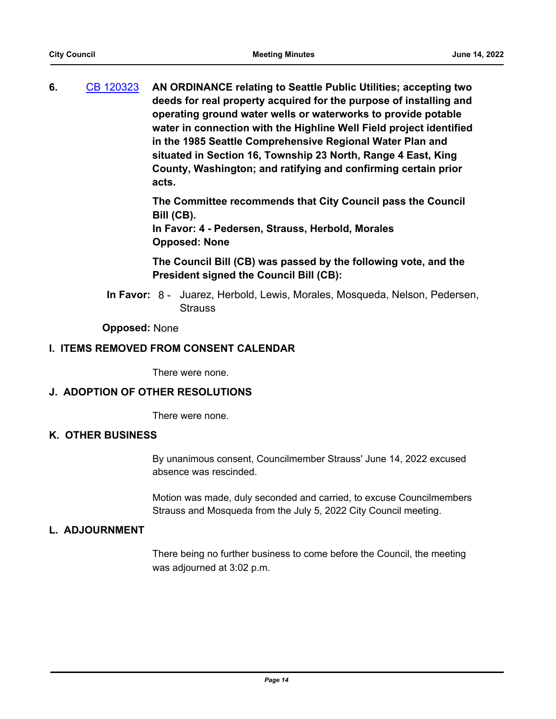**6.** [CB 120323](http://seattle.legistar.com/gateway.aspx?m=l&id=/matter.aspx?key=12824) **AN ORDINANCE relating to Seattle Public Utilities; accepting two deeds for real property acquired for the purpose of installing and operating ground water wells or waterworks to provide potable water in connection with the Highline Well Field project identified in the 1985 Seattle Comprehensive Regional Water Plan and situated in Section 16, Township 23 North, Range 4 East, King County, Washington; and ratifying and confirming certain prior acts.**

> **The Committee recommends that City Council pass the Council Bill (CB).**

**In Favor: 4 - Pedersen, Strauss, Herbold, Morales Opposed: None**

**The Council Bill (CB) was passed by the following vote, and the President signed the Council Bill (CB):**

In Favor: 8 - Juarez, Herbold, Lewis, Morales, Mosqueda, Nelson, Pedersen, **Strauss** 

#### **Opposed:** None

## **I. ITEMS REMOVED FROM CONSENT CALENDAR**

There were none.

#### **J. ADOPTION OF OTHER RESOLUTIONS**

There were none.

## **K. OTHER BUSINESS**

By unanimous consent, Councilmember Strauss' June 14, 2022 excused absence was rescinded.

Motion was made, duly seconded and carried, to excuse Councilmembers Strauss and Mosqueda from the July 5, 2022 City Council meeting.

#### **L. ADJOURNMENT**

There being no further business to come before the Council, the meeting was adjourned at 3:02 p.m.